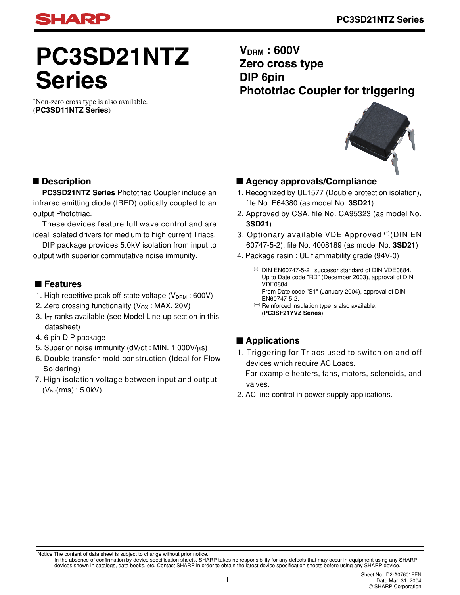

# **PC3SD21NTZ Series**

∗ Non-zero cross type is also available. (**PC3SD11NTZ Series**)

**VDRM : 600V Zero cross type DIP 6pin Phototriac Coupler for triggering**



#### ■ **Description**

**PC3SD21NTZ Series** Phototriac Coupler include an infrared emitting diode (IRED) optically coupled to an output Phototriac.

These devices feature full wave control and are ideal isolated drivers for medium to high current Triacs.

DIP package provides 5.0kV isolation from input to output with superior commutative noise immunity.

#### ■ **Features**

- 1. High repetitive peak off-state voltage  $(V_{DRM} : 600V)$
- 2. Zero crossing functionality  $(V_{OX} : MAX. 20V)$
- 3.  $I_{FT}$  ranks available (see Model Line-up section in this datasheet)
- 4. 6 pin DIP package
- 5. Superior noise immunity ( $dV/dt$ : MIN. 1 000 $V/\mu s$ )
- 6. Double transfer mold construction (Ideal for Flow Soldering)
- 7. High isolation voltage between input and output (Viso(rms) : 5.0kV)

#### ■ **Agency approvals/Compliance**

- 1. Recognized by UL1577 (Double protection isolation), file No. E64380 (as model No. **3SD21**)
- 2. Approved by CSA, file No. CA95323 (as model No. **3SD21**)
- 3. Optionary available VDE Approved (<sup>∗</sup>) (DIN EN 60747-5-2), file No. 4008189 (as model No. **3SD21**)
- 4. Package resin : UL flammability grade (94V-0)
	- (∗) DIN EN60747-5-2 : succesor standard of DIN VDE0884. Up to Date code "RD" (December 2003), approval of DIN VDE0884. From Date code "S1" (January 2004), approval of DIN EN60747-5-2.
	- (∗∗) Reinforced insulation type is also available. (**PC3SF21YVZ Series**)

#### ■ **Applications**

1. Triggering for Triacs used to switch on and off devices which require AC Loads.

 For example heaters, fans, motors, solenoids, and valves.

2. AC line control in power supply applications.

Notice The content of data sheet is subject to change without prior notice.

In the absence of confirmation by device specification sheets, SHARP takes no responsibility for any defects that may occur in equipment using any SHARP<br>devices shown in catalogs, data books, etc. Contact SHARP in order to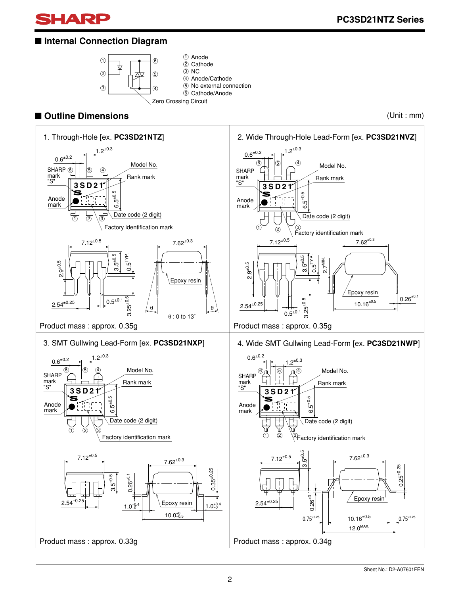

#### ■ **Internal Connection Diagram**



#### ■ **Outline Dimensions** (Unit : mm)

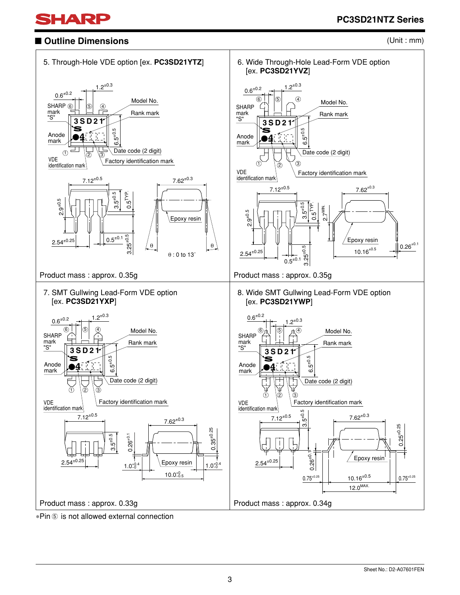

### ■ Outline Dimensions





∗Pin ⑤ is not allowed external connection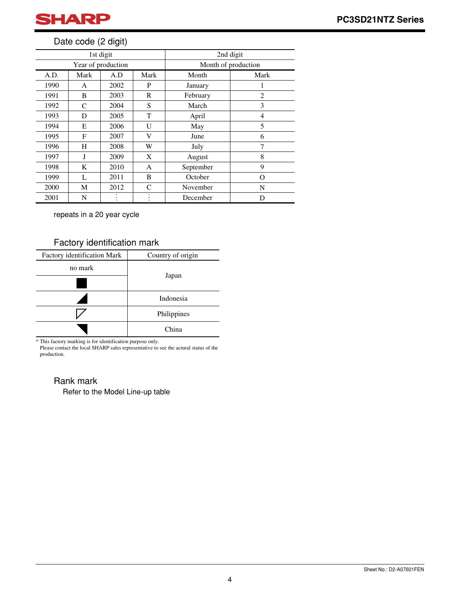

#### Date code (2 digit)

|      |      | 1st digit          |      | 2nd digit           |          |  |
|------|------|--------------------|------|---------------------|----------|--|
|      |      | Year of production |      | Month of production |          |  |
| A.D. | Mark | A.D                | Mark | Month               | Mark     |  |
| 1990 | A    | 2002               | P    | January             | 1        |  |
| 1991 | B    | 2003               | R    | February            | 2        |  |
| 1992 | C    | 2004               | S    | March               | 3        |  |
| 1993 | D    | 2005               | T    | April               | 4        |  |
| 1994 | E    | 2006               | U    | May                 | 5        |  |
| 1995 | F    | 2007               | V    | June                | 6        |  |
| 1996 | H    | 2008               | W    | July                | 7        |  |
| 1997 | J    | 2009               | X    | August              | 8        |  |
| 1998 | K    | 2010               | A    | September           | 9        |  |
| 1999 | L    | 2011               | B    | October             | $\Omega$ |  |
| 2000 | М    | 2012               | C    | November            | N        |  |
| 2001 | N    |                    |      | December            | D        |  |

repeats in a 20 year cycle

#### Factory identification mark

| Factory identification Mark | Country of origin |  |
|-----------------------------|-------------------|--|
| no mark                     |                   |  |
|                             | Japan             |  |
|                             | Indonesia         |  |
|                             | Philippines       |  |
|                             | China             |  |

\* This factory marking is for identification purpose only.

Please contact the local SHARP sales representative to see the actural status of the production.

#### Rank mark

Refer to the Model Line-up table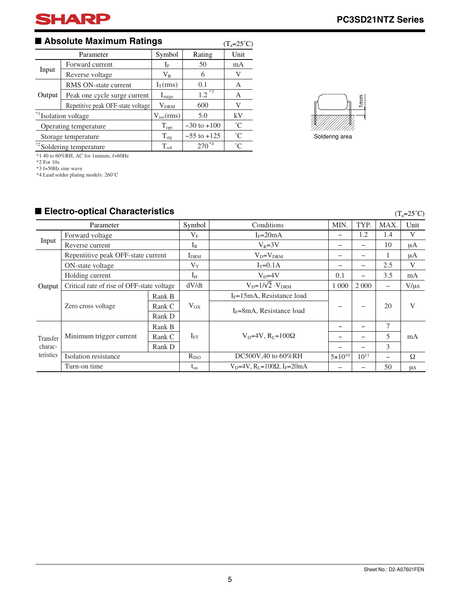#### ■ Absolute Maximum Ratings

| ■ Absolute Maximum Ratings<br>$(T_a=25^{\circ}C)$ |                                      |                      |                 |             |  |  |
|---------------------------------------------------|--------------------------------------|----------------------|-----------------|-------------|--|--|
|                                                   | Parameter                            | Symbol               | Rating          | Unit        |  |  |
|                                                   | Forward current                      | $I_{\rm F}$          | 50              | mA          |  |  |
| Input                                             | $\rm V_R$<br>Reverse voltage         | 6                    | V               |             |  |  |
|                                                   | RMS ON-state current                 | $I_T(rms)$           | 0.1             | А           |  |  |
| Output                                            | Peak one cycle surge current         | $I_{\text{surface}}$ | $1.2^{*3}$      | A           |  |  |
|                                                   | Repetitive peak OFF-state voltage    | $\rm{V}_{\rm{DRM}}$  | 600             | V           |  |  |
|                                                   | * <sup>1</sup> Isolation voltage     | $V_{iso}(rms)$       | 5.0             | kV          |  |  |
|                                                   | Operating temperature                | $T_{\rm opr}$        | $-30$ to $+100$ | $^{\circ}C$ |  |  |
|                                                   | Storage temperature                  | $T_{\text{stg}}$     | $-55$ to $+125$ | $^{\circ}C$ |  |  |
|                                                   | * <sup>2</sup> Soldering temperature | $T_{sol}$            | $270^{*4}$      | $^{\circ}C$ |  |  |

\*1 40 to 60%RH, AC for 1minute, f=60Hz \*2 For 10s

\*3 f=50Hz sine wave

\*4 Lead solder plating models: 260˚C

#### ■ Electro-optical Characteristics

|           | Parameter                                  |        | Symbol           | Conditions                                        | <b>MIN</b>         | TYP.                     | MAX.                     | Unit      |
|-----------|--------------------------------------------|--------|------------------|---------------------------------------------------|--------------------|--------------------------|--------------------------|-----------|
|           | Forward voltage                            |        | $V_{\rm F}$      | $I_F = 20mA$                                      |                    | 1.2                      | 1.4                      | V         |
| Input     | Reverse current                            |        | $I_{R}$          | $V_R = 3V$                                        | -                  |                          | 10                       | μA        |
|           | Repentitive peak OFF-state current         |        | I <sub>DRM</sub> | $V_D = V_{DRM}$                                   | -                  | $\overline{\phantom{0}}$ |                          | μA        |
|           | ON-state voltage                           |        | $V_T$            | $I_T = 0.1A$                                      |                    |                          | 2.5                      | V         |
|           | Holding current                            |        | $I_H$            | $VD=4V$                                           | 0.1                | $\overline{\phantom{0}}$ | 3.5                      | mA        |
| Output    | Critical rate of rise of OFF-state voltage |        | dV/dt            | $V_D=1/\sqrt{2} \cdot V_{DRM}$                    | 1 0 0 0            | 2 0 0 0                  | $\overline{\phantom{0}}$ | $V/\mu s$ |
|           | Zero cross voltage                         | Rank B | $V_{OX}$         | $I_F = 15mA$ , Resistance load                    |                    |                          | 20                       |           |
|           |                                            | Rank C |                  | $I_F = 8mA$ , Resistance load                     |                    |                          |                          | V         |
|           |                                            | Rank D |                  |                                                   |                    |                          |                          |           |
|           |                                            | Rank B |                  |                                                   |                    |                          | $\tau$                   |           |
| Transfer  | Minimum trigger current                    | Rank C | $I_{FT}$         | $V_D=4V$ , $R_I=100\Omega$                        |                    |                          | 5                        | mA        |
| charac-   |                                            | Rank D |                  |                                                   |                    |                          | 3                        |           |
| teristics | Isolation resistance                       |        | $R_{ISO}$        | DC500V,40 to 60%RH                                | $5 \times 10^{10}$ | $10^{11}$                | -                        | Ω         |
|           | Turn-on time                               |        | $t_{on}$         | $V_D=4V$ , $R_L=100\Omega$ , I <sub>F</sub> =20mA |                    |                          | 50                       | μs        |



 $(T_a=25^\circ C)$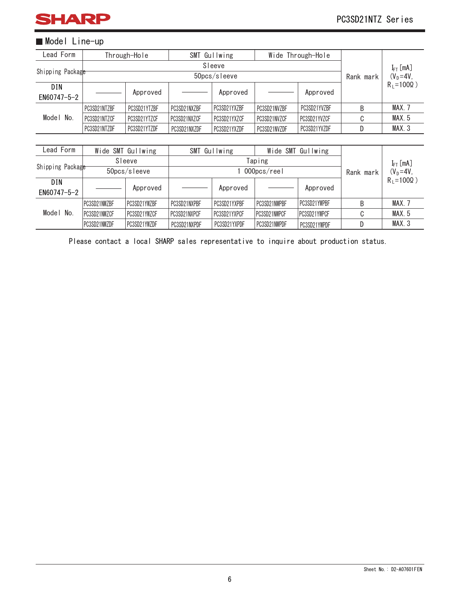

#### **Model Line-up**

| Lead Form        |              | Through-Hole      |              | SMT Gullwing |              | Wide Through-Hole |           |                     |
|------------------|--------------|-------------------|--------------|--------------|--------------|-------------------|-----------|---------------------|
|                  |              |                   |              | Sleeve       |              |                   |           | $I_{FT}$ [mA]       |
| Shipping Package |              |                   |              | 50pcs/sleeve |              |                   | Rank mark | $(V_D=4V,$          |
| DIN              |              | Approved          |              | Approved     |              | Approved          |           | $R_1 = 100\Omega$ ) |
| EN60747-5-2      |              |                   |              |              |              |                   |           |                     |
|                  | PC3SD21NTZBF | PC3SD21YTZBF      | PC3SD21NXZBF | PC3SD21YXZBF | PC3SD21NVZBF | PC3SD21YVZBF      | B         | <b>MAX. 7</b>       |
| Model No.        | PC3SD21NTZCF | PC3SD21YTZCF      | PC3SD21NXZCF | PC3SD21YXZCF | PC3SD21NVZCF | PC3SD21YVZCF      | C         | MAX. 5              |
|                  | PC3SD21NTZDF | PC3SD21YTZDF      | PC3SD21NXZDF | PC3SD21YXZDF | PC3SD21NVZDF | PC3SD21YVZDF      | D         | MAX.3               |
|                  |              |                   |              |              |              |                   |           |                     |
| Lead Form        |              | Wide SMT Gullwing |              | SMT Gullwing |              | Wide SMT Gullwing |           |                     |

| Lead Form          |              | Wide SMT Gullwing |              | SMT Gullwing |              | Wide SMT Gullwing   |   |                     |
|--------------------|--------------|-------------------|--------------|--------------|--------------|---------------------|---|---------------------|
|                    | Sleeve       |                   | Taping       |              |              |                     |   | $I_{FT}$ [mA]       |
| Shipping Package   |              | 50pcs/sleeve      |              | 000pcs/reel  |              |                     |   | $(V_D=4V,$          |
| DIN<br>EN60747-5-2 |              | Approved          |              | Approved     |              | Approved            |   | $R_1 = 100\Omega$ ) |
|                    | PC3SD21NWZBF | PC3SD21YWZBF      | PC3SD21NXPBF | PC3SD21YXPBF | PC3SD21NWPBF | PC3SD21YWPBF        | B | MAX. 7              |
| Model No.          | PC3SD21NWZCF | PC3SD21YWZCF      | PC3SD21NXPCF | PC3SD21YXPCF | PC3SD21NWPCF | <b>PC3SD21YWPCF</b> |   | <b>MAX.5</b>        |
|                    | PC3SD21NWZDF | PC3SD21YWZDF      | PC3SD21NXPDF | PC3SD21YXPDF | PC3SD21NWPDF | PC3SD21YWPDF        |   | MAX <sub>3</sub>    |

Please contact a local SHARP sales representative to inquire about production status.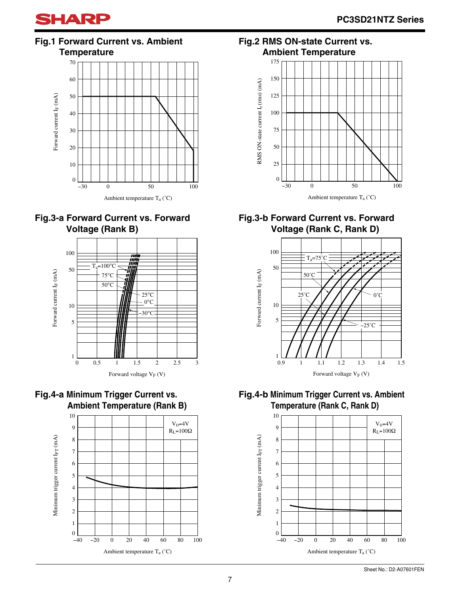

**Fig.1 Forward Current vs. Ambient Temperature**











**Fig.2 RMS ON-state Current vs. Ambient Temperature**



#### **Fig.3-b Forward Current vs. Forward Voltage (Rank C, Rank D)**



**Fig.4-b Minimum Trigger Current vs. Ambient Temperature (Rank C, Rank D)**

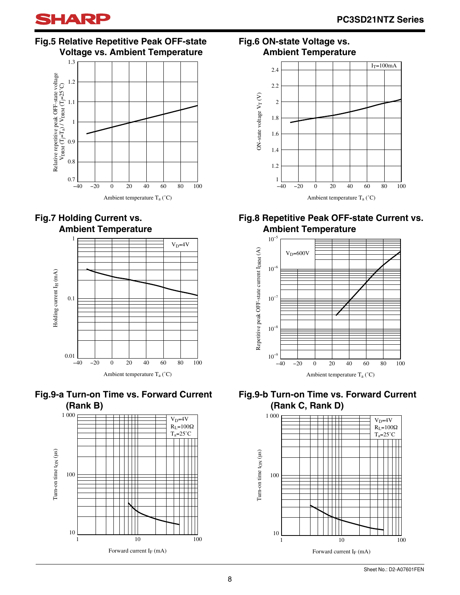

#### **Fig.5 Relative Repetitive Peak OFF-state Voltage vs. Ambient Temperature**











#### **Fig.6 ON-state Voltage vs. Ambient Temperature**



#### **Fig.8 Repetitive Peak OFF-state Current vs. Ambient Temperature**





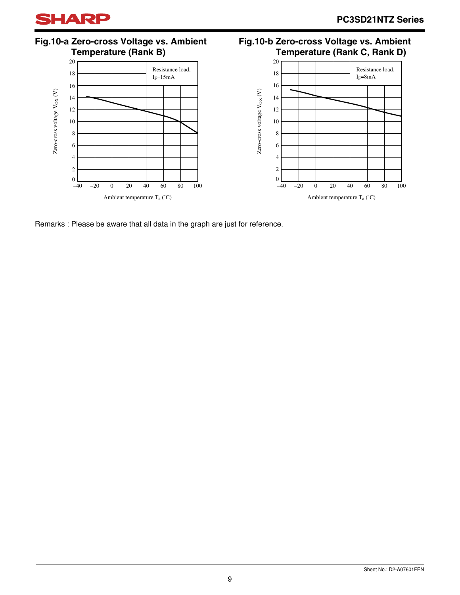

**Fig.10-a Zero-cross Voltage vs. Ambient Temperature (Rank B)**





**Fig.10-b Zero-cross Voltage vs. Ambient**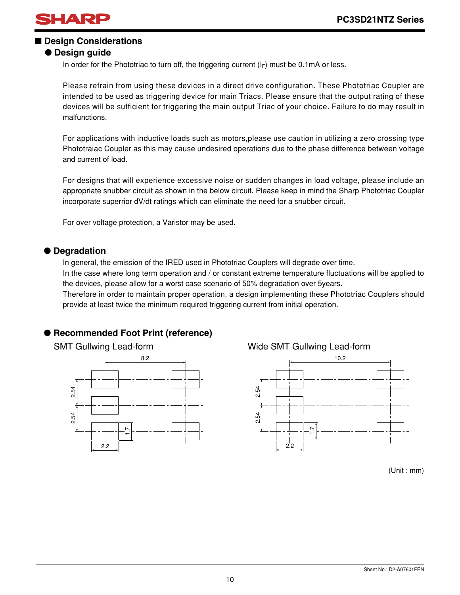

#### ■ **Design Considerations**

#### ● **Design guide**

In order for the Phototriac to turn off, the triggering current  $(I_F)$  must be 0.1mA or less.

Please refrain from using these devices in a direct drive configuration. These Phototriac Coupler are intended to be used as triggering device for main Triacs. Please ensure that the output rating of these devices will be sufficient for triggering the main output Triac of your choice. Failure to do may result in malfunctions.

For applications with inductive loads such as motors,please use caution in utilizing a zero crossing type Phototraiac Coupler as this may cause undesired operations due to the phase difference between voltage and current of load.

For designs that will experience excessive noise or sudden changes in load voltage, please include an appropriate snubber circuit as shown in the below circuit. Please keep in mind the Sharp Phototriac Coupler incorporate superrior dV/dt ratings which can eliminate the need for a snubber circuit.

For over voltage protection, a Varistor may be used.

#### ● **Degradation**

In general, the emission of the IRED used in Phototriac Couplers will degrade over time. In the case where long term operation and / or constant extreme temperature fluctuations will be applied to the devices, please allow for a worst case scenario of 50% degradation over 5years.

Therefore in order to maintain proper operation, a design implementing these Phototriac Couplers should provide at least twice the minimum required triggering current from initial operation.

#### ● **Recommended Foot Print (reference)**



#### SMT Gullwing Lead-form Wide SMT Gullwing Lead-form



(Unit : mm)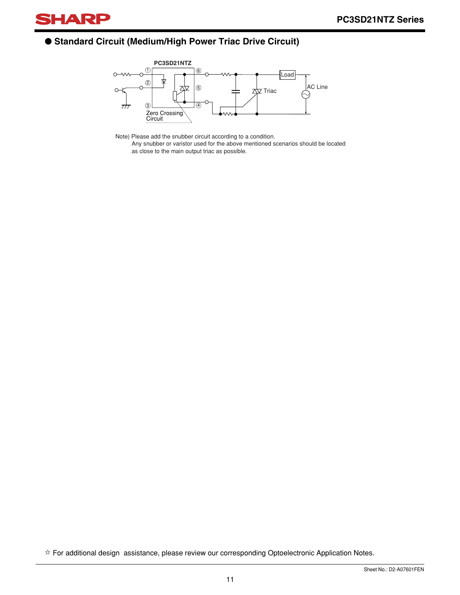

#### ● **Standard Circuit (Medium/High Power Triac Drive Circuit)**



Note) Please add the snubber circuit according to a condition. Any snubber or varistor used for the above mentioned scenarios should be located as close to the main output triac as possible.

✩ For additional design assistance, please review our corresponding Optoelectronic Application Notes.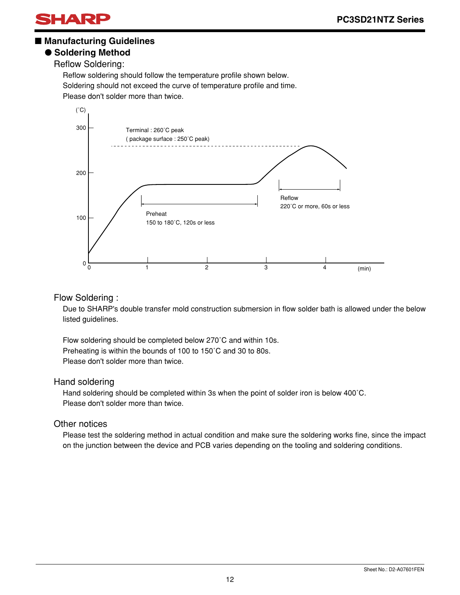

#### ■ Manufacturing Guidelines

#### ● **Soldering Method**

Reflow Soldering:

Reflow soldering should follow the temperature profile shown below. Soldering should not exceed the curve of temperature profile and time. Please don't solder more than twice.



#### Flow Soldering :

Due to SHARP's double transfer mold construction submersion in flow solder bath is allowed under the below listed guidelines.

Flow soldering should be completed below 270˚C and within 10s. Preheating is within the bounds of 100 to 150˚C and 30 to 80s. Please don't solder more than twice.

#### Hand soldering

Hand soldering should be completed within 3s when the point of solder iron is below 400˚C. Please don't solder more than twice.

#### Other notices

Please test the soldering method in actual condition and make sure the soldering works fine, since the impact on the junction between the device and PCB varies depending on the tooling and soldering conditions.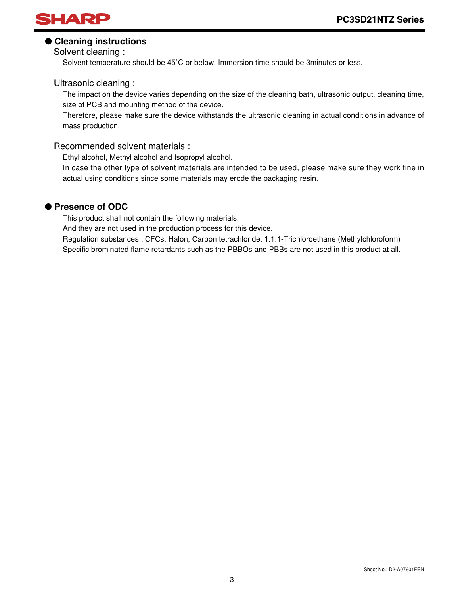

#### ● **Cleaning instructions**

Solvent cleaning :

Solvent temperature should be 45˚C or below. Immersion time should be 3minutes or less.

#### Ultrasonic cleaning :

The impact on the device varies depending on the size of the cleaning bath, ultrasonic output, cleaning time, size of PCB and mounting method of the device.

Therefore, please make sure the device withstands the ultrasonic cleaning in actual conditions in advance of mass production.

#### Recommended solvent materials :

Ethyl alcohol, Methyl alcohol and Isopropyl alcohol.

In case the other type of solvent materials are intended to be used, please make sure they work fine in actual using conditions since some materials may erode the packaging resin.

#### ● **Presence of ODC**

This product shall not contain the following materials.

And they are not used in the production process for this device.

Regulation substances : CFCs, Halon, Carbon tetrachloride, 1.1.1-Trichloroethane (Methylchloroform) Specific brominated flame retardants such as the PBBOs and PBBs are not used in this product at all.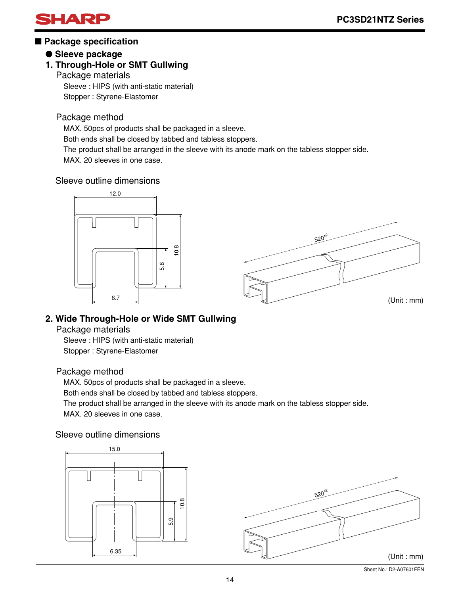

#### ■ **Package specification**

#### ● **Sleeve package**

#### **1. Through-Hole or SMT Gullwing**

Package materials

Sleeve : HIPS (with anti-static material) Stopper : Styrene-Elastomer

#### Package method

MAX. 50pcs of products shall be packaged in a sleeve.

Both ends shall be closed by tabbed and tabless stoppers.

The product shall be arranged in the sleeve with its anode mark on the tabless stopper side.

MAX. 20 sleeves in one case.

#### Sleeve outline dimensions



#### **2. Wide Through-Hole or Wide SMT Gullwing**

Package materials

Sleeve : HIPS (with anti-static material) Stopper : Styrene-Elastomer

#### Package method

MAX. 50pcs of products shall be packaged in a sleeve.

Both ends shall be closed by tabbed and tabless stoppers.

The product shall be arranged in the sleeve with its anode mark on the tabless stopper side. MAX. 20 sleeves in one case.

#### Sleeve outline dimensions



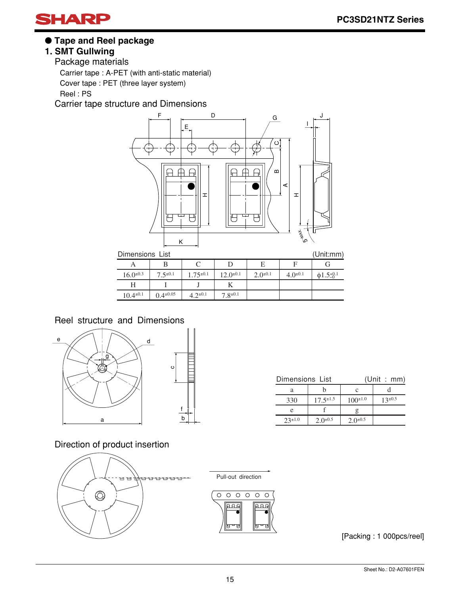

● **Tape and Reel package**

#### **1. SMT Gullwing**

Package materials Carrier tape : A-PET (with anti-static material) Cover tape : PET (three layer system) Reel : PS

Carrier tape structure and Dimensions



| Dimensions List<br>(Unit:mm) |                  |                 |                 |                 |                |                            |  |
|------------------------------|------------------|-----------------|-----------------|-----------------|----------------|----------------------------|--|
|                              |                  |                 |                 | Е               |                |                            |  |
| $16.0^{\pm 0.3}$             | $7.5^{\pm0.1}$   | $1.75^{\pm0.1}$ | $12.0^{\pm0.1}$ | $2.0^{\pm 0.1}$ | $4.0^{\pm0.1}$ | $\phi$ 1.5 <sup>+0.1</sup> |  |
|                              |                  |                 |                 |                 |                |                            |  |
| $10.4^{\pm0.1}$              | $0.4^{\pm 0.05}$ | $4.2^{\pm 0.1}$ | $7.8^{\pm0.1}$  |                 |                |                            |  |
|                              |                  |                 |                 |                 |                |                            |  |

#### Reel structure and Dimensions



| Dimensions List |                  | (Unit : mm)     |              |  |  |
|-----------------|------------------|-----------------|--------------|--|--|
| а               |                  | с               |              |  |  |
| 330             | $17.5^{\pm 1.5}$ | $100^{\pm 1.0}$ | $13 \pm 0.5$ |  |  |
| e               |                  |                 |              |  |  |
| $23^{\pm 1.0}$  | $2.0^{\pm 0.5}$  | $2.0^{\pm 0.5}$ |              |  |  |

Direction of product insertion



Pull-out direction



[Packing : 1 000pcs/reel]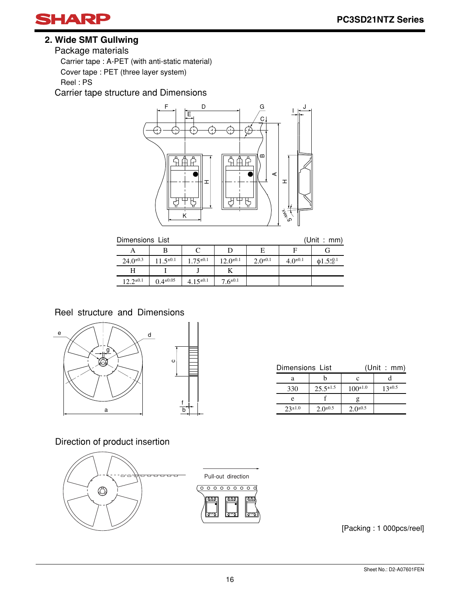

#### **2. Wide SMT Gullwing**

Package materials

Carrier tape : A-PET (with anti-static material)

Cover tape : PET (three layer system)

Reel : PS

Carrier tape structure and Dimensions



| (Unit | a car | mm) |  |
|-------|-------|-----|--|
|       |       |     |  |

| (Unit : mm)<br>Dimensions List |                  |                 |                 |                 |                |                             |  |
|--------------------------------|------------------|-----------------|-----------------|-----------------|----------------|-----------------------------|--|
|                                |                  |                 |                 | E               |                |                             |  |
| $24.0^{\pm 0.3}$               | $11.5^{\pm0.1}$  | $1.75^{\pm0.1}$ | $12.0^{\pm0.1}$ | $2.0^{\pm 0.1}$ | $4.0^{\pm0.1}$ | $\phi$ 1.5 $^{+0.1}_{-0.1}$ |  |
| Н                              |                  |                 |                 |                 |                |                             |  |
| $12.2^{\pm 0.1}$               | $0.4^{\pm 0.05}$ | $4.15^{\pm0.1}$ | $7.6^{\pm 0.1}$ |                 |                |                             |  |

Reel structure and Dimensions



| Dimensions List |                  | (Unit : mm)     |                |  |  |
|-----------------|------------------|-----------------|----------------|--|--|
|                 |                  |                 |                |  |  |
| 330             | $25.5^{\pm 1.5}$ | $100^{\pm 1.0}$ | $13^{\pm 0.5}$ |  |  |
| e               |                  |                 |                |  |  |
| $23^{\pm1.0}$   | $2.0^{\pm 0.5}$  | $2.0^{\pm 0.5}$ |                |  |  |

Direction of product insertion



[Packing : 1 000pcs/reel]